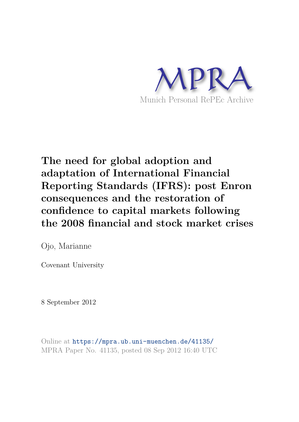

# **The need for global adoption and adaptation of International Financial Reporting Standards (IFRS): post Enron consequences and the restoration of confidence to capital markets following the 2008 financial and stock market crises**

Ojo, Marianne

Covenant University

8 September 2012

Online at https://mpra.ub.uni-muenchen.de/41135/ MPRA Paper No. 41135, posted 08 Sep 2012 16:40 UTC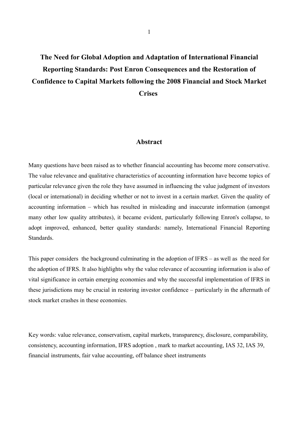## **The Need for Global Adoption and Adaptation of International Financial Reporting Standards: Post Enron Consequences and the Restoration of Confidence to Capital Markets following the 2008 Financial and Stock Market Crises**

### **Abstract**

Many questions have been raised as to whether financial accounting has become more conservative. The value relevance and qualitative characteristics of accounting information have become topics of particular relevance given the role they have assumed in influencing the value judgment of investors (local or international) in deciding whether or not to invest in a certain market. Given the quality of accounting information – which has resulted in misleading and inaccurate information (amongst many other low quality attributes), it became evident, particularly following Enron's collapse, to adopt improved, enhanced, better quality standards: namely, International Financial Reporting Standards.

This paper considers the background culminating in the adoption of IFRS – as well as the need for the adoption of IFRS. It also highlights why the value relevance of accounting information is also of vital significance in certain emerging economies and why the successful implementation of IFRS in these jurisdictions may be crucial in restoring investor confidence – particularly in the aftermath of stock market crashes in these economies.

Key words: value relevance, conservatism, capital markets, transparency, disclosure, comparability, consistency, accounting information, IFRS adoption , mark to market accounting, IAS 32, IAS 39, financial instruments, fair value accounting, off balance sheet instruments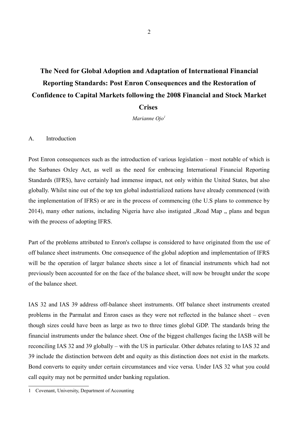# **The Need for Global Adoption and Adaptation of International Financial Reporting Standards: Post Enron Consequences and the Restoration of Confidence to Capital Markets following the 2008 Financial and Stock Market Crises**

*Marianne Ojo<sup>1</sup>*

#### A. Introduction

Post Enron consequences such as the introduction of various legislation – most notable of which is the Sarbanes Oxley Act, as well as the need for embracing International Financial Reporting Standards (IFRS), have certainly had immense impact, not only within the United States, but also globally. Whilst nine out of the top ten global industrialized nations have already commenced (with the implementation of IFRS) or are in the process of commencing (the U.S plans to commence by 2014), many other nations, including Nigeria have also instigated "Road Map " plans and begun with the process of adopting IFRS.

Part of the problems attributed to Enron's collapse is considered to have originated from the use of off balance sheet instruments. One consequence of the global adoption and implementation of IFRS will be the operation of larger balance sheets since a lot of financial instruments which had not previously been accounted for on the face of the balance sheet, will now be brought under the scope of the balance sheet.

IAS 32 and IAS 39 address off-balance sheet instruments. Off balance sheet instruments created problems in the Parmalat and Enron cases as they were not reflected in the balance sheet – even though sizes could have been as large as two to three times global GDP. The standards bring the financial instruments under the balance sheet. One of the biggest challenges facing the IASB will be reconciling IAS 32 and 39 globally – with the US in particular. Other debates relating to IAS 32 and 39 include the distinction between debt and equity as this distinction does not exist in the markets. Bond converts to equity under certain circumstances and vice versa. Under IAS 32 what you could call equity may not be permitted under banking regulation.

<sup>1</sup> Covenant, University, Department of Accounting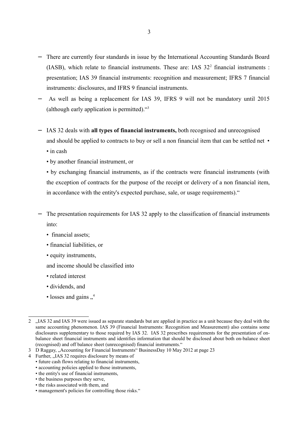- − There are currently four standards in issue by the International Accounting Standards Board (IASB), which relate to financial instruments. These are: IAS  $32<sup>2</sup>$  financial instruments : presentation; IAS 39 financial instruments: recognition and measurement; IFRS 7 financial instruments: disclosures, and IFRS 9 financial instruments.
- As well as being a replacement for IAS 39, IFRS 9 will not be mandatory until 2015 (although early application is permitted)."<sup>3</sup>
- − IAS 32 deals with **all types of financial instruments,** both recognised and unrecognised and should be applied to contracts to buy or sell a non financial item that can be settled net  $\bullet$

• in cash

• by another financial instrument, or

• by exchanging financial instruments, as if the contracts were financial instruments (with the exception of contracts for the purpose of the receipt or delivery of a non financial item, in accordance with the entity's expected purchase, sale, or usage requirements)."

- The presentation requirements for IAS 32 apply to the classification of financial instruments into:
	- financial assets;
	- financial liabilities, or
	- equity instruments,

and income should be classified into

- related interest
- dividends, and
- losses and gains  $\frac{4}{11}$

• the business purposes they serve,

<sup>2 .</sup> IAS 32 and IAS 39 were issued as separate standards but are applied in practice as a unit because they deal with the same accounting phenomenon. IAS 39 (Financial Instruments: Recognition and Measurement) also contains some disclosures supplementary to those required by IAS 32. IAS 32 prescribes requirements for the presentation of onbalance sheet financial instruments and identifies information that should be disclosed about both on-balance sheet (recognised) and off balance sheet (unrecognised) financial instruments."

<sup>3</sup> D Raggay, "Accounting for Financial Instruments" BusinessDay 10 May 2012 at page 23

<sup>4</sup> Further, "IAS 32 requires disclosure by means of

<sup>•</sup> future cash flows relating to financial instruments,

<sup>•</sup> accounting policies applied to those instruments,

<sup>•</sup> the entity's use of financial instruments,

<sup>•</sup> the risks associated with them, and

<sup>•</sup> management's policies for controlling those risks."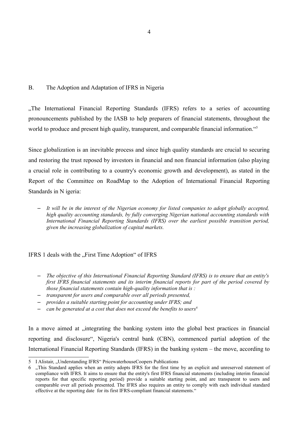### B. The Adoption and Adaptation of IFRS in Nigeria

"The International Financial Reporting Standards (IFRS) refers to a series of accounting pronouncements published by the IASB to help preparers of financial statements, throughout the world to produce and present high quality, transparent, and comparable financial information."<sup>5</sup>

Since globalization is an inevitable process and since high quality standards are crucial to securing and restoring the trust reposed by investors in financial and non financial information (also playing a crucial role in contributing to a country's economic growth and development), as stated in the Report of the Committee on RoadMap to the Adoption of International Financial Reporting Standards in N igeria:

– *It will be in the interest of the Nigerian economy for listed companies to adopt globally accepted, high quality accounting standards, by fully converging Nigerian national accounting standards with International Financial Reporting Standards (IFRS) over the earliest possible transition period, given the increasing globalization of capital markets.*

#### IFRS 1 deals with the "First Time Adoption" of IFRS

- *The objective of this International Financial Reporting Standard (IFRS) is to ensure that an entity's first IFRS financial statements and its interim financial reports for part of the period covered by those financial statements contain high-quality information that is :*
- *transparent for users and comparable over all periods presented,*
- *provides a suitable starting point for accounting under IFRS; and*
- *can be generated at a cost that does not exceed the benefits to users<sup>6</sup>*

In a move aimed at , integrating the banking system into the global best practices in financial reporting and disclosure", Nigeria's central bank (CBN), commenced partial adoption of the International Financial Reporting Standards (IFRS) in the banking system – the move, according to

<sup>5</sup> I Alistair, "Understanding IFRS" PricewaterhouseCoopers Publications

<sup>6 &</sup>quot;This Standard applies when an entity adopts IFRS for the first time by an explicit and unreserved statement of compliance with IFRS. It aims to ensure that the entity's first IFRS financial statements (including interim financial reports for that specific reporting period) provide a suitable starting point, and are transparent to users and comparable over all periods presented. The IFRS also requires an entity to comply with each individual standard effective at the reporting date for its first IFRS-compliant financial statements."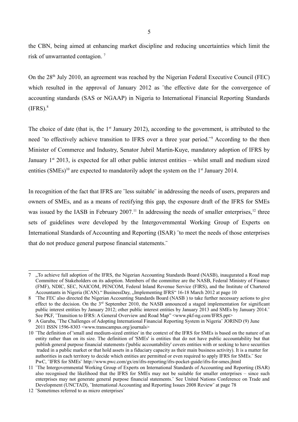the CBN, being aimed at enhancing market discipline and reducing uncertainties which limit the risk of unwarranted contagion. <sup>7</sup>

On the 28<sup>th</sup> July 2010, an agreement was reached by the Nigerian Federal Executive Council (FEC) which resulted in the approval of January 2012 as "the effective date for the convergence of accounting standards (SAS or NGAAP) in Nigeria to International Financial Reporting Standards  $(IFRS).$ <sup>8</sup>

The choice of date (that is, the  $1<sup>st</sup>$  January 2012), according to the government, is attributed to the need "to effectively achieve transition to IFRS over a three year period."<sup>9</sup> According to the then Minister of Commerce and Industry, Senator Jubril Martin-Kuye, mandatory adoption of IFRS by January  $1<sup>st</sup>$  2013, is expected for all other public interest entities – whilst small and medium sized entities  $(SMEs)^{10}$  are expected to mandatorily adopt the system on the 1<sup>st</sup> January 2014.

In recognition of the fact that IFRS are "less suitable" in addressing the needs of users, preparers and owners of SMEs, and as a means of rectifying this gap, the exposure draft of the IFRS for SMEs was issued by the IASB in February 2007.<sup>11</sup> In addressing the needs of smaller enterprises,<sup>12</sup> three sets of guidelines were developed by the Intergovernmental Working Group of Experts on International Standards of Accounting and Reporting (ISAR) ¨to meet the needs of those enterprises that do not produce general purpose financial statements.¨

<sup>7 &</sup>quot;To achieve full adoption of the IFRS, the Nigerian Accounting Standards Board (NASB), inaugurated a Road map Committee of Stakeholders on its adoption. Members of the committee are the NASB, Federal Ministry of Finance (FMF), NDIC, SEC, NAICOM, PENCOM, Federal Inland Revenue Service (FIRS), and the Institute of Chartered Accountants in Nigeria (ICAN). "BusinessDay, "Implementing IFRS" 16-18 March 2012 at page 10

<sup>8</sup> The FEC also directed the Nigerian Accounting Standards Board (NASB) to take further necessary actions to give effect to the decision. On the 3<sup>rd</sup> September 2010, the NASB announced a staged implementation for significant public interest entities by January 2012; other public interest entities by January 2013 and SMEs by January 2014. See PKF, "Transition to IFRS: A General Overview and Road Map" <www.pkf-ng.com/IFRS.ppt>

<sup>9</sup> A Garuba, "The Challenges of Adopting International Financial Reporting System in Nigeria" JORIND (9) June 2011 ISSN 1596-8303 <www.transcampus.org/journals>

<sup>10 ¨</sup>The definition of 'small and medium-sized entities' in the context of the IFRS for SMEs is based on the nature of an entity rather than on its size. The definition of 'SMEs' is entities that do not have public accountability but that publish general purpose financial statements ('public accountability' covers entities with or seeking to have securities traded in a public market or that hold assets in a fiduciary capacity as their main business activity). It is a matter for authorities in each territory to decide which entities are permitted or even required to apply IFRS for SMEs.¨ See PwC, ¨IFRS for SMEs¨ http://www.pwc.com/gx/en/ifrs-reporting/ifrs-pocket-guide/ifrs-for-smes.jhtml

<sup>11 ¨</sup>The Intergovernmental Working Group of Experts on International Standards of Accounting and Reporting (ISAR) also recognised the likelihood that the IFRS for SMEs may not be suitable for smaller enterprises – since such enterprises may not generate general purpose financial statements.¨ See United Nations Conference on Trade and Development (UNCTAD), ¨International Accounting and Reporting Issues 2008 Review¨ at page 78

<sup>12 ¨</sup>Sometimes referred to as micro enterprises¨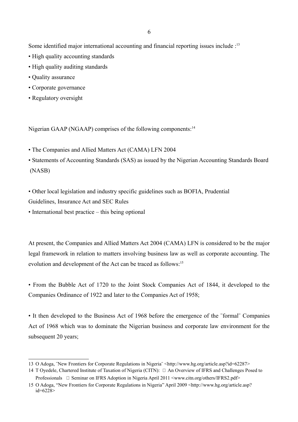Some identified major international accounting and financial reporting issues include :<sup>13</sup>

- High quality accounting standards
- High quality auditing standards
- Quality assurance
- Corporate governance
- Regulatory oversight

Nigerian GAAP (NGAAP) comprises of the following components:<sup>14</sup>

• The Companies and Allied Matters Act (CAMA) LFN 2004

• Statements of Accounting Standards (SAS) as issued by the Nigerian Accounting Standards Board (NASB)

• Other local legislation and industry specific guidelines such as BOFIA, Prudential

Guidelines, Insurance Act and SEC Rules

• International best practice – this being optional

At present, the Companies and Allied Matters Act 2004 (CAMA) LFN is considered to be the major legal framework in relation to matters involving business law as well as corporate accounting. The evolution and development of the Act can be traced as follows:<sup>15</sup>

• From the Bubble Act of 1720 to the Joint Stock Companies Act of 1844, it developed to the Companies Ordinance of 1922 and later to the Companies Act of 1958;

• It then developed to the Business Act of 1968 before the emergence of the "formal" Companies Act of 1968 which was to dominate the Nigerian business and corporate law environment for the subsequent 20 years;

<sup>13</sup> O Adoga, ¨New Frontiers for Corporate Regulations in Nigeria¨ <http://www.hg.org/article.asp?id=62287>

<sup>14</sup> T Oyedele, Chartered Institute of Taxation of Nigeria (CITN): □ An Overview of IFRS and Challenges Posed to

Professionals □ Seminar on IFRS Adoption in Nigeria April 2011 <www.citn.org/others/IFRS2.pdf> 15 O Adoga, "New Frontiers for Corporate Regulations in Nigeria" April 2009 <http://www.hg.org/article.asp? id=6228>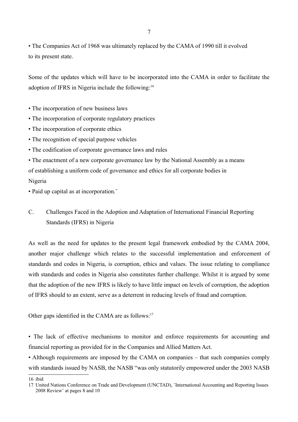• The Companies Act of 1968 was ultimately replaced by the CAMA of 1990 till it evolved to its present state.

Some of the updates which will have to be incorporated into the CAMA in order to facilitate the adoption of IFRS in Nigeria include the following:<sup>16</sup>

- The incorporation of new business laws
- The incorporation of corporate regulatory practices
- The incorporation of corporate ethics
- The recognition of special purpose vehicles
- The codification of corporate governance laws and rules

• The enactment of a new corporate governance law by the National Assembly as a means of establishing a uniform code of governance and ethics for all corporate bodies in Nigeria

• Paid up capital as at incorporation.<sup>"</sup>

C. Challenges Faced in the Adoption and Adaptation of International Financial Reporting Standards (IFRS) in Nigeria

As well as the need for updates to the present legal framework embodied by the CAMA 2004, another major challenge which relates to the successful implementation and enforcement of standards and codes in Nigeria, is corruption, ethics and values. The issue relating to compliance with standards and codes in Nigeria also constitutes further challenge. Whilst it is argued by some that the adoption of the new IFRS is likely to have little impact on levels of corruption, the adoption of IFRS should to an extent, serve as a deterrent in reducing levels of fraud and corruption.

Other gaps identified in the CAMA are as follows:<sup>17</sup>

• The lack of effective mechanisms to monitor and enforce requirements for accounting and financial reporting as provided for in the Companies and Allied Matters Act.

• Although requirements are imposed by the CAMA on companies – that such companies comply with standards issued by NASB, the NASB "was only statutorily empowered under the 2003 NASB

16 ibid

<sup>17</sup> United Nations Conference on Trade and Development (UNCTAD), ¨International Accounting and Reporting Issues 2008 Review¨ at pages 8 and 10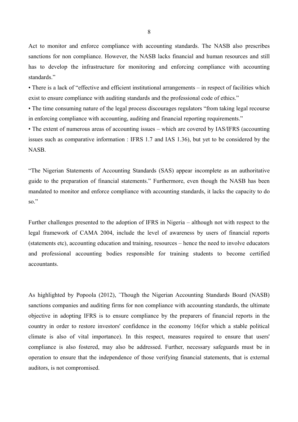Act to monitor and enforce compliance with accounting standards. The NASB also prescribes sanctions for non compliance. However, the NASB lacks financial and human resources and still has to develop the infrastructure for monitoring and enforcing compliance with accounting standards."

• There is a lack of "effective and efficient institutional arrangements – in respect of facilities which exist to ensure compliance with auditing standards and the professional code of ethics."

• The time consuming nature of the legal process discourages regulators "from taking legal recourse in enforcing compliance with accounting, auditing and financial reporting requirements."

• The extent of numerous areas of accounting issues – which are covered by IAS/IFRS (accounting issues such as comparative information : IFRS 1.7 and IAS 1.36), but yet to be considered by the NASB.

"The Nigerian Statements of Accounting Standards (SAS) appear incomplete as an authoritative guide to the preparation of financial statements." Furthermore, even though the NASB has been mandated to monitor and enforce compliance with accounting standards, it lacks the capacity to do so."

Further challenges presented to the adoption of IFRS in Nigeria – although not with respect to the legal framework of CAMA 2004, include the level of awareness by users of financial reports (statements etc), accounting education and training, resources – hence the need to involve educators and professional accounting bodies responsible for training students to become certified accountants.

As highlighted by Popoola (2012), ¨Though the Nigerian Accounting Standards Board (NASB) sanctions companies and auditing firms for non compliance with accounting standards, the ultimate objective in adopting IFRS is to ensure compliance by the preparers of financial reports in the country in order to restore investors' confidence in the economy 16(for which a stable political climate is also of vital importance). In this respect, measures required to ensure that users' compliance is also fostered, may also be addressed. Further, necessary safeguards must be in operation to ensure that the independence of those verifying financial statements, that is external auditors, is not compromised.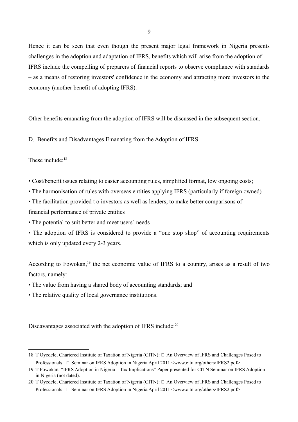Hence it can be seen that even though the present major legal framework in Nigeria presents challenges in the adoption and adaptation of IFRS, benefits which will arise from the adoption of IFRS include the compelling of preparers of financial reports to observe compliance with standards – as a means of restoring investors' confidence in the economy and attracting more investors to the economy (another benefit of adopting IFRS).

Other benefits emanating from the adoption of IFRS will be discussed in the subsequent section.

D. Benefits and Disadvantages Emanating from the Adoption of IFRS

These include:<sup>18</sup>

• Cost/benefit issues relating to easier accounting rules, simplified format, low ongoing costs;

• The harmonisation of rules with overseas entities applying IFRS (particularly if foreign owned)

• The facilitation provided t o investors as well as lenders, to make better comparisons of

financial performance of private entities

• The potential to suit better and meet users´ needs

• The adoption of IFRS is considered to provide a "one stop shop" of accounting requirements which is only updated every 2-3 years.

According to Fowokan,<sup>19</sup> the net economic value of IFRS to a country, arises as a result of two factors, namely:

- The value from having a shared body of accounting standards; and
- The relative quality of local governance institutions.

Disdavantages associated with the adoption of IFRS include:<sup>20</sup>

<sup>18</sup> T Oyedele, Chartered Institute of Taxation of Nigeria (CITN): □ An Overview of IFRS and Challenges Posed to Professionals □ Seminar on IFRS Adoption in Nigeria April 2011 <www.citn.org/others/IFRS2.pdf>

<sup>19</sup> T Fowokan, "IFRS Adoption in Nigeria – Tax Implications" Paper presented for CITN Seminar on IFRS Adoption in Nigeria (not dated).

<sup>20</sup> T Oyedele, Chartered Institute of Taxation of Nigeria (CITN): □ An Overview of IFRS and Challenges Posed to Professionals □ Seminar on IFRS Adoption in Nigeria April 2011 <www.citn.org/others/IFRS2.pdf>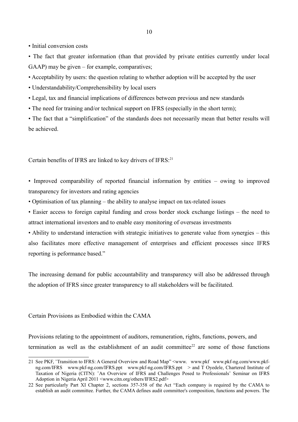• Initial conversion costs

• The fact that greater information (than that provided by private entities currently under local GAAP) may be given – for example, comparatives;

• Acceptability by users: the question relating to whether adoption will be accepted by the user

• Understandability/Comprehensibility by local users

• Legal, tax and financial implications of differences between previous and new standards

• The need for training and/or technical support on IFRS (especially in the short term);

• The fact that a "simplification" of the standards does not necessarily mean that better results will be achieved.

Certain benefits of IFRS are linked to key drivers of IFRS:<sup>21</sup>

• Improved comparability of reported financial information by entities – owing to improved transparency for investors and rating agencies

• Optimisation of tax planning – the ability to analyse impact on tax-related issues

• Easier access to foreign capital funding and cross border stock exchange listings – the need to attract international investors and to enable easy monitoring of overseas investments

• Ability to understand interaction with strategic initiatives to generate value from synergies – this also facilitates more effective management of enterprises and efficient processes since IFRS reporting is peformance based."

The increasing demand for public accountability and transparency will also be addressed through the adoption of IFRS since greater transparency to all stakeholders will be facilitated.

Certain Provisions as Embodied within the CAMA

Provisions relating to the appointment of auditors, remuneration, rights, functions, powers, and termination as well as the establishment of an audit committee<sup>22</sup> are some of those functions

<sup>21</sup> See PKF, ¨Transition to IFRS: A General Overview and Road Map" <www. www.pkf www.pkf-ng.com/www.pkfng.com/IFRS www.pkf-ng.com/IFRS.ppt www.pkf-ng.com/IFRS.ppt > and T Oyedele, Chartered Institute of Taxation of Nigeria (CITN): ¨An Overview of IFRS and Challenges Posed to Professionals¨ Seminar on IFRS Adoption in Nigeria April 2011 <www.citn.org/others/IFRS2.pdf>

<sup>22</sup> See particularly Part XI Chapter 2, sections 357-358 of the Act "Each company is required by the CAMA to establish an audit committee. Further, the CAMA defines audit committee's composition, functions and powers. The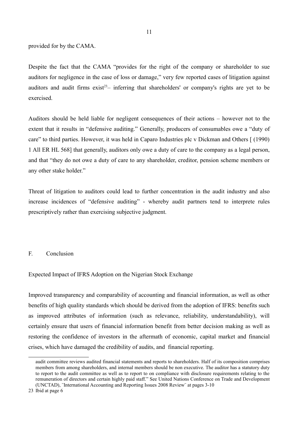provided for by the CAMA.

Despite the fact that the CAMA "provides for the right of the company or shareholder to sue auditors for negligence in the case of loss or damage," very few reported cases of litigation against auditors and audit firms  $exist^{23}$ – inferring that shareholders' or company's rights are yet to be exercised.

Auditors should be held liable for negligent consequences of their actions – however not to the extent that it results in "defensive auditing." Generally, producers of consumables owe a "duty of care" to third parties. However, it was held in Caparo Industries plc v Dickman and Others [ (1990) 1 All ER HL 568] that generally, auditors only owe a duty of care to the company as a legal person, and that "they do not owe a duty of care to any shareholder, creditor, pension scheme members or any other stake holder."

Threat of litigation to auditors could lead to further concentration in the audit industry and also increase incidences of "defensive auditing" - whereby audit partners tend to interprete rules prescriptively rather than exercising subjective judgment.

#### F. Conclusion

Expected Impact of IFRS Adoption on the Nigerian Stock Exchange

Improved transparency and comparability of accounting and financial information, as well as other benefits of high quality standards which should be derived from the adoption of IFRS: benefits such as improved attributes of information (such as relevance, reliability, understandability), will certainly ensure that users of financial information benefit from better decision making as well as restoring the confidence of investors in the aftermath of economic, capital market and financial crises, which have damaged the credibility of audits, and financial reporting.

audit committee reviews audited financial statements and reports to shareholders. Half of its composition comprises members from among shareholders, and internal members should be non executive. The auditor has a statutory duty to report to the audit committee as well as to report to on compliance with disclosure requirements relating to the remuneration of directors and certain highly paid staff." See United Nations Conference on Trade and Development (UNCTAD), ¨International Accounting and Reporting Issues 2008 Review¨ at pages 3-10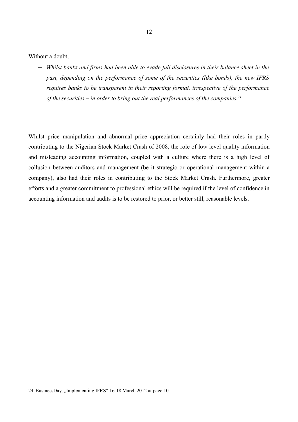Without a doubt,

− *Whilst banks and firms had been able to evade full disclosures in their balance sheet in the past, depending on the performance of some of the securities (like bonds), the new IFRS requires banks to be transparent in their reporting format, irrespective of the performance of the securities – in order to bring out the real performances of the companies.<sup>24</sup>*

Whilst price manipulation and abnormal price appreciation certainly had their roles in partly contributing to the Nigerian Stock Market Crash of 2008, the role of low level quality information and misleading accounting information, coupled with a culture where there is a high level of collusion between auditors and management (be it strategic or operational management within a company), also had their roles in contributing to the Stock Market Crash. Furthermore, greater efforts and a greater commitment to professional ethics will be required if the level of confidence in accounting information and audits is to be restored to prior, or better still, reasonable levels.

<sup>24</sup> BusinessDay, "Implementing IFRS" 16-18 March 2012 at page 10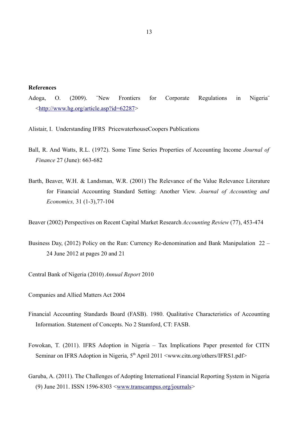**References**

Adoga, O. (2009). ¨New Frontiers for Corporate Regulations in Nigeria¨ <http://www.hg.org/article.asp?id=62287>

Alistair, I. Understanding IFRS PricewaterhouseCoopers Publications

- Ball, R. And Watts, R.L. (1972). Some Time Series Properties of Accounting Income *Journal of Finance* 27 (June): 663-682
- Barth, Beaver, W.H. & Landsman, W.R. (2001) The Relevance of the Value Relevance Literature for Financial Accounting Standard Setting: Another View. *Journal of Accounting and Economics,* 31 (1-3),77-104

Beaver (2002) Perspectives on Recent Capital Market Research *Accounting Review* (77), 453-474

Business Day, (2012) Policy on the Run: Currency Re-denomination and Bank Manipulation 22 – 24 June 2012 at pages 20 and 21

Central Bank of Nigeria (2010) *Annual Report* 2010

Companies and Allied Matters Act 2004

- Financial Accounting Standards Board (FASB). 1980. Qualitative Characteristics of Accounting Information. Statement of Concepts. No 2 Stamford, CT: FASB.
- Fowokan, T. (2011). IFRS Adoption in Nigeria Tax Implications Paper presented for CITN Seminar on IFRS Adoption in Nigeria, 5<sup>th</sup> April 2011 <www.citn.org/others/IFRS1.pdf>
- Garuba, A. (2011). The Challenges of Adopting International Financial Reporting System in Nigeria (9) June 2011. ISSN 1596-8303  $\langle$  www.transcampus.org/journals>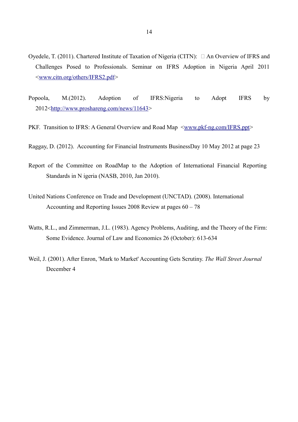- Oyedele, T. (2011). Chartered Institute of Taxation of Nigeria (CITN):  $\Box$  An Overview of IFRS and Challenges Posed to Professionals. Seminar on IFRS Adoption in Nigeria April 2011 <www.citn.org/others/IFRS2.pdf>
- Popoola, M.(2012). Adoption of IFRS:Nigeria to Adopt IFRS by 2012<http://www.proshareng.com/news/11643>
- PKF. Transition to IFRS: A General Overview and Road Map  $\leq_{\text{www.pkf-ng.com/IFRS,ppt}}$
- Raggay, D. (2012). Accounting for Financial Instruments BusinessDay 10 May 2012 at page 23
- Report of the Committee on RoadMap to the Adoption of International Financial Reporting Standards in N igeria (NASB, 2010, Jan 2010).
- United Nations Conference on Trade and Development (UNCTAD). (2008). International Accounting and Reporting Issues 2008 Review at pages 60 – 78
- Watts, R.L., and Zimmerman, J.L. (1983). Agency Problems, Auditing, and the Theory of the Firm: Some Evidence. Journal of Law and Economics 26 (October): 613-634
- Weil, J. (2001). After Enron, 'Mark to Market' Accounting Gets Scrutiny. *The Wall Street Journal* December 4